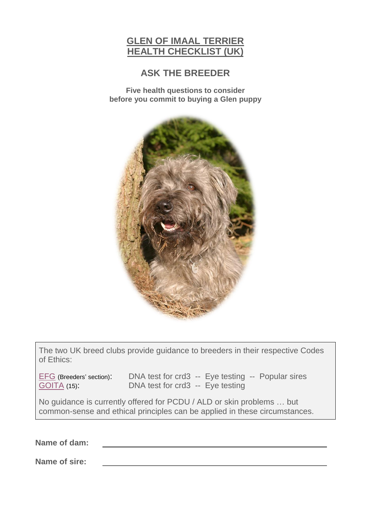# **GLEN OF IMAAL TERRIER HEALTH CHECKLIST (UK)**

## **ASK THE BREEDER**

**Five health questions to consider before you commit to buying a Glen puppy**



The two UK breed clubs provide guidance to breeders in their respective Codes of Ethics:

[EFG](https://www.e-f-g.co.uk/code-of-ethics) (Breeders' section): DNA test for crd3 -- Eye testing -- Popular sires<br>GOITA (15): DNA test for crd3 -- Eye testing DNA test for crd3 -- Eye testing

No guidance is currently offered for PCDU / ALD or skin problems … but common-sense and ethical principles can be applied in these circumstances.

**Name of dam:**

**Name of sire:**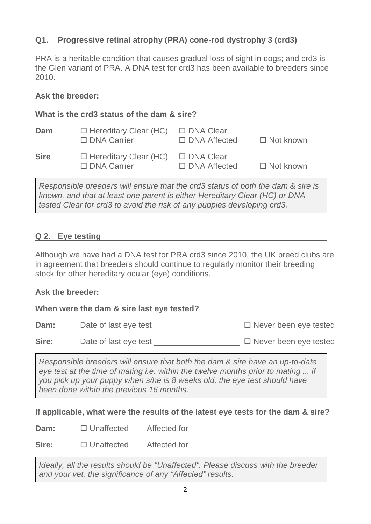### **Q1. Progressive retinal atrophy (PRA) cone-rod dystrophy 3 (crd3)**

PRA is a heritable condition that causes gradual loss of sight in dogs; and crd3 is the Glen variant of PRA. A DNA test for crd3 has been available to breeders since 2010.

### **Ask the breeder:**

### **What is the crd3 status of the dam & sire?**

| Dam         | $\Box$ Hereditary Clear (HC)<br>$\Box$ DNA Carrier | □ DNA Clear<br>$\Box$ DNA Affected | $\Box$ Not known |
|-------------|----------------------------------------------------|------------------------------------|------------------|
| <b>Sire</b> | $\Box$ Hereditary Clear (HC)<br>$\Box$ DNA Carrier | □ DNA Clear<br>$\Box$ DNA Affected | $\Box$ Not known |

*Responsible breeders will ensure that the crd3 status of both the dam & sire is known, and that at least one parent is either Hereditary Clear (HC) or DNA tested Clear for crd3 to avoid the risk of any puppies developing crd3.*

### **Q 2. Eye testing**

Although we have had a DNA test for PRA crd3 since 2010, the UK breed clubs are in agreement that breeders should continue to regularly monitor their breeding stock for other hereditary ocular (eye) conditions.

### **Ask the breeder:**

**When were the dam & sire last eye tested?**

**Dam:** Date of last eye test Never been eye tested

Sire: Date of last eye test **D** Never been eye tested

*Responsible breeders will ensure that both the dam & sire have an up-to-date eye test at the time of mating i.e. within the twelve months prior to mating ... if you pick up your puppy when s/he is 8 weeks old, the eye test should have been done within the previous 16 months.*

**If applicable, what were the results of the latest eye tests for the dam & sire?**

| Dam:  | $\Box$ Unaffected | Affected for |  |
|-------|-------------------|--------------|--|
| Sire: | $\Box$ Unaffected | Affected for |  |

*Ideally, all the results should be "Unaffected". Please discuss with the breeder and your vet, the significance of any "Affected" results.*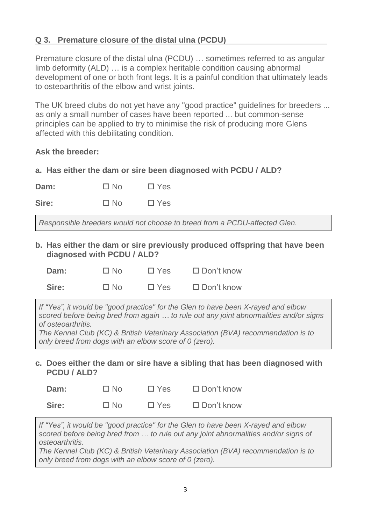### **Q 3. Premature closure of the distal ulna (PCDU)**

Premature closure of the distal ulna (PCDU) … sometimes referred to as angular limb deformity (ALD) … is a complex heritable condition causing abnormal development of one or both front legs. It is a painful condition that ultimately leads to osteoarthritis of the elbow and wrist joints.

The UK breed clubs do not yet have any "good practice" guidelines for breeders ... as only a small number of cases have been reported ... but common-sense principles can be applied to try to minimise the risk of producing more Glens affected with this debilitating condition.

### **Ask the breeder:**

**a. Has either the dam or sire been diagnosed with PCDU / ALD?**

| $\Box$ Yes<br>$\Box$ No |
|-------------------------|
|                         |

Sire: □ No □ Yes

*Responsible breeders would not choose to breed from a PCDU-affected Glen.*

**b. Has either the dam or sire previously produced offspring that have been diagnosed with PCDU / ALD?**

| Dam:  | $\Box$ No | $\Box$ Yes | $\Box$ Don't know |
|-------|-----------|------------|-------------------|
| Sire: | $\Box$ No | $\Box$ Yes | $\Box$ Don't know |

*If "Yes", it would be "good practice" for the Glen to have been X-rayed and elbow scored before being bred from again … to rule out any joint abnormalities and/or signs of osteoarthritis.*

*The Kennel Club (KC) & British Veterinary Association (BVA) recommendation is to only breed from dogs with an elbow score of 0 (zero).*

**c. Does either the dam or sire have a sibling that has been diagnosed with PCDU / ALD?**

| Dam:  | $\Box$ No | $\Box$ Yes | $\Box$ Don't know |
|-------|-----------|------------|-------------------|
| Sire: | $\Box$ No | $\Box$ Yes | $\Box$ Don't know |

*If "Yes", it would be "good practice" for the Glen to have been X-rayed and elbow scored before being bred from … to rule out any joint abnormalities and/or signs of osteoarthritis.*

*The Kennel Club (KC) & British Veterinary Association (BVA) recommendation is to only breed from dogs with an elbow score of 0 (zero).*